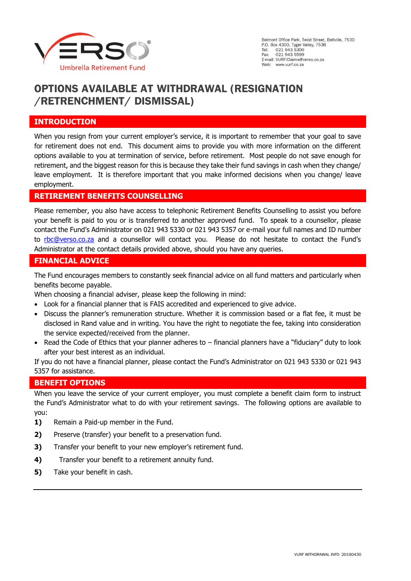

# **OPTIONS AVAILABLE AT WITHDRAWAL (RESIGNATION /RETRENCHMENT/ DISMISSAL)**

### **INTRODUCTION**

When you resign from your current employer's service, it is important to remember that your goal to save for retirement does not end. This document aims to provide you with more information on the different options available to you at termination of service, before retirement. Most people do not save enough for retirement, and the biggest reason for this is because they take their fund savings in cash when they change/ leave employment. It is therefore important that you make informed decisions when you change/ leave employment.

### **RETIREMENT BENEFITS COUNSELLING**

Please remember, you also have access to telephonic Retirement Benefits Counselling to assist you before your benefit is paid to you or is transferred to another approved fund. To speak to a counsellor, please contact the Fund's Administrator on 021 943 5330 or 021 943 5357 or e-mail your full names and ID number to [rbc@verso.co.za](mailto:rbc@verso.co.za) and a counsellor will contact you. Please do not hesitate to contact the Fund's Administrator at the contact details provided above, should you have any queries.

### **FINANCIAL ADVICE**

The Fund encourages members to constantly seek financial advice on all fund matters and particularly when benefits become payable.

When choosing a financial adviser, please keep the following in mind:

- Look for a financial planner that is FAIS accredited and experienced to give advice.
- Discuss the planner's remuneration structure. Whether it is commission based or a flat fee, it must be disclosed in Rand value and in writing. You have the right to negotiate the fee, taking into consideration the service expected/received from the planner.
- Read the Code of Ethics that your planner adheres to financial planners have a "fiduciary" duty to look after your best interest as an individual.

If you do not have a financial planner, please contact the Fund's Administrator on 021 943 5330 or 021 943 5357 for assistance.

### **BENEFIT OPTIONS**

When you leave the service of your current employer, you must complete a benefit claim form to instruct the Fund's Administrator what to do with your retirement savings. The following options are available to you:

- **1)** Remain a Paid-up member in the Fund.
- **2)** Preserve (transfer) your benefit to a preservation fund.
- **3)** Transfer your benefit to your new employer's retirement fund.
- **4)** Transfer your benefit to a retirement annuity fund.
- **5)** Take your benefit in cash.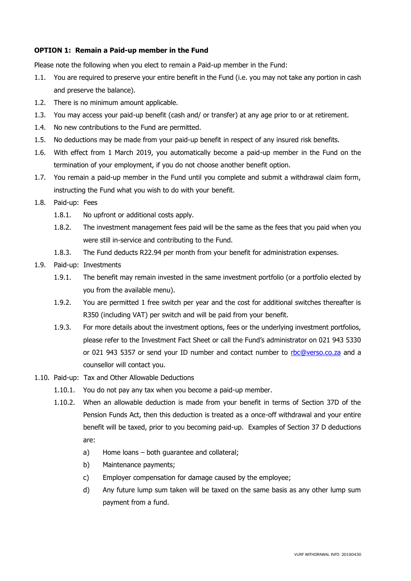### **OPTION 1: Remain a Paid-up member in the Fund**

Please note the following when you elect to remain a Paid-up member in the Fund:

- 1.1. You are required to preserve your entire benefit in the Fund (i.e. you may not take any portion in cash and preserve the balance).
- 1.2. There is no minimum amount applicable.
- 1.3. You may access your paid-up benefit (cash and/ or transfer) at any age prior to or at retirement.
- 1.4. No new contributions to the Fund are permitted.
- 1.5. No deductions may be made from your paid-up benefit in respect of any insured risk benefits.
- 1.6. With effect from 1 March 2019, you automatically become a paid-up member in the Fund on the termination of your employment, if you do not choose another benefit option.
- 1.7. You remain a paid-up member in the Fund until you complete and submit a withdrawal claim form, instructing the Fund what you wish to do with your benefit.
- 1.8. Paid-up: Fees
	- 1.8.1. No upfront or additional costs apply.
	- 1.8.2. The investment management fees paid will be the same as the fees that you paid when you were still in-service and contributing to the Fund.
	- 1.8.3. The Fund deducts R22.94 per month from your benefit for administration expenses.
- 1.9. Paid-up: Investments
	- 1.9.1. The benefit may remain invested in the same investment portfolio (or a portfolio elected by you from the available menu).
	- 1.9.2. You are permitted 1 free switch per year and the cost for additional switches thereafter is R350 (including VAT) per switch and will be paid from your benefit.
	- 1.9.3. For more details about the investment options, fees or the underlying investment portfolios, please refer to the Investment Fact Sheet or call the Fund's administrator on 021 943 5330 or 021 943 5357 or send your ID number and contact number to [rbc@verso.co.za](mailto:rbc@verso.co.za) and a counsellor will contact you.
- 1.10. Paid-up: Tax and Other Allowable Deductions
	- 1.10.1. You do not pay any tax when you become a paid-up member.
	- 1.10.2. When an allowable deduction is made from your benefit in terms of Section 37D of the Pension Funds Act, then this deduction is treated as a once-off withdrawal and your entire benefit will be taxed, prior to you becoming paid-up. Examples of Section 37 D deductions are:
		- a) Home loans both guarantee and collateral;
		- b) Maintenance payments;
		- c) Employer compensation for damage caused by the employee;
		- d) Any future lump sum taken will be taxed on the same basis as any other lump sum payment from a fund.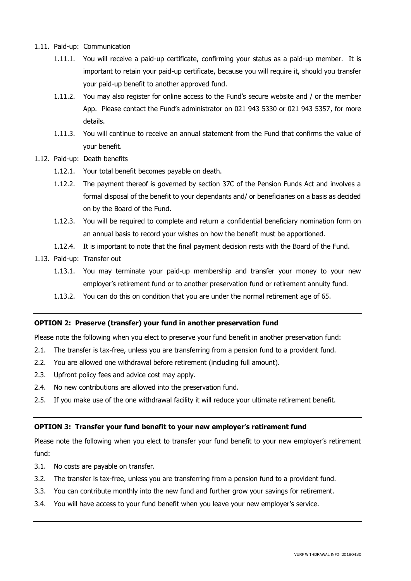- 1.11. Paid-up: Communication
	- 1.11.1. You will receive a paid-up certificate, confirming your status as a paid-up member. It is important to retain your paid-up certificate, because you will require it, should you transfer your paid-up benefit to another approved fund.
	- 1.11.2. You may also register for online access to the Fund's secure website and / or the member App. Please contact the Fund's administrator on 021 943 5330 or 021 943 5357, for more details.
	- 1.11.3. You will continue to receive an annual statement from the Fund that confirms the value of your benefit.
- 1.12. Paid-up: Death benefits
	- 1.12.1. Your total benefit becomes payable on death.
	- 1.12.2. The payment thereof is governed by section 37C of the Pension Funds Act and involves a formal disposal of the benefit to your dependants and/ or beneficiaries on a basis as decided on by the Board of the Fund.
	- 1.12.3. You will be required to complete and return a confidential beneficiary nomination form on an annual basis to record your wishes on how the benefit must be apportioned.
	- 1.12.4. It is important to note that the final payment decision rests with the Board of the Fund.
- 1.13. Paid-up: Transfer out
	- 1.13.1. You may terminate your paid-up membership and transfer your money to your new employer's retirement fund or to another preservation fund or retirement annuity fund.
	- 1.13.2. You can do this on condition that you are under the normal retirement age of 65.

#### **OPTION 2: Preserve (transfer) your fund in another preservation fund**

Please note the following when you elect to preserve your fund benefit in another preservation fund:

- 2.1. The transfer is tax-free, unless you are transferring from a pension fund to a provident fund.
- 2.2. You are allowed one withdrawal before retirement (including full amount).
- 2.3. Upfront policy fees and advice cost may apply.
- 2.4. No new contributions are allowed into the preservation fund.
- 2.5. If you make use of the one withdrawal facility it will reduce your ultimate retirement benefit.

#### **OPTION 3: Transfer your fund benefit to your new employer's retirement fund**

Please note the following when you elect to transfer your fund benefit to your new employer's retirement fund:

- 3.1. No costs are payable on transfer.
- 3.2. The transfer is tax-free, unless you are transferring from a pension fund to a provident fund.
- 3.3. You can contribute monthly into the new fund and further grow your savings for retirement.
- 3.4. You will have access to your fund benefit when you leave your new employer's service.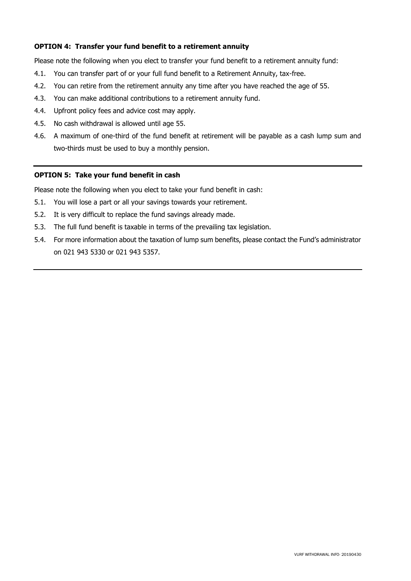### **OPTION 4: Transfer your fund benefit to a retirement annuity**

Please note the following when you elect to transfer your fund benefit to a retirement annuity fund:

- 4.1. You can transfer part of or your full fund benefit to a Retirement Annuity, tax-free.
- 4.2. You can retire from the retirement annuity any time after you have reached the age of 55.
- 4.3. You can make additional contributions to a retirement annuity fund.
- 4.4. Upfront policy fees and advice cost may apply.
- 4.5. No cash withdrawal is allowed until age 55.
- 4.6. A maximum of one-third of the fund benefit at retirement will be payable as a cash lump sum and two-thirds must be used to buy a monthly pension.

#### **OPTION 5: Take your fund benefit in cash**

Please note the following when you elect to take your fund benefit in cash:

- 5.1. You will lose a part or all your savings towards your retirement.
- 5.2. It is very difficult to replace the fund savings already made.
- 5.3. The full fund benefit is taxable in terms of the prevailing tax legislation.
- 5.4. For more information about the taxation of lump sum benefits, please contact the Fund's administrator on 021 943 5330 or 021 943 5357.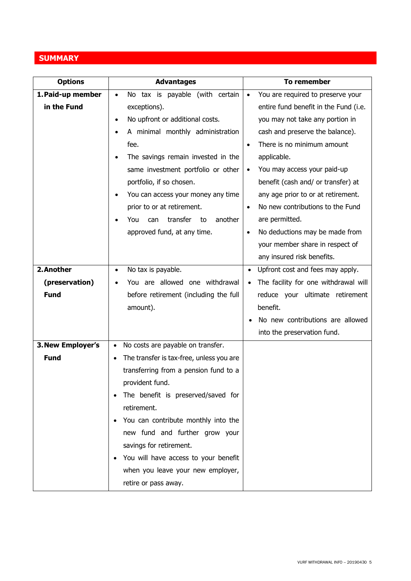## **SUMMARY**

| <b>Options</b>    | <b>Advantages</b>                               | To remember                                    |
|-------------------|-------------------------------------------------|------------------------------------------------|
| 1. Paid-up member | No tax is payable (with certain<br>$\bullet$    | You are required to preserve your<br>$\bullet$ |
| in the Fund       | exceptions).                                    | entire fund benefit in the Fund (i.e.          |
|                   | No upfront or additional costs.<br>$\bullet$    | you may not take any portion in                |
|                   | A minimal monthly administration<br>$\bullet$   | cash and preserve the balance).                |
|                   | fee.                                            | There is no minimum amount<br>$\bullet$        |
|                   | The savings remain invested in the              | applicable.                                    |
|                   | same investment portfolio or other              | You may access your paid-up<br>$\bullet$       |
|                   | portfolio, if so chosen.                        | benefit (cash and/ or transfer) at             |
|                   | You can access your money any time<br>$\bullet$ | any age prior to or at retirement.             |
|                   | prior to or at retirement.                      | No new contributions to the Fund<br>$\bullet$  |
|                   | transfer<br>another<br>You<br>can<br>to         | are permitted.                                 |
|                   | approved fund, at any time.                     | No deductions may be made from<br>$\bullet$    |
|                   |                                                 | your member share in respect of                |
|                   |                                                 | any insured risk benefits.                     |
| 2. Another        | No tax is payable.<br>$\bullet$                 | Upfront cost and fees may apply.<br>$\bullet$  |
| (preservation)    | You are allowed one withdrawal<br>$\bullet$     | The facility for one withdrawal will           |
| <b>Fund</b>       | before retirement (including the full           | reduce your ultimate retirement                |
|                   | amount).                                        | benefit.                                       |
|                   |                                                 | No new contributions are allowed               |
|                   |                                                 | into the preservation fund.                    |
| 3. New Employer's | No costs are payable on transfer.               |                                                |
| <b>Fund</b>       | The transfer is tax-free, unless you are        |                                                |
|                   | transferring from a pension fund to a           |                                                |
|                   | provident fund.                                 |                                                |
|                   | The benefit is preserved/saved for              |                                                |
|                   | retirement.                                     |                                                |
|                   | You can contribute monthly into the             |                                                |
|                   | new fund and further grow your                  |                                                |
|                   | savings for retirement.                         |                                                |
|                   | You will have access to your benefit            |                                                |
|                   | when you leave your new employer,               |                                                |
|                   | retire or pass away.                            |                                                |